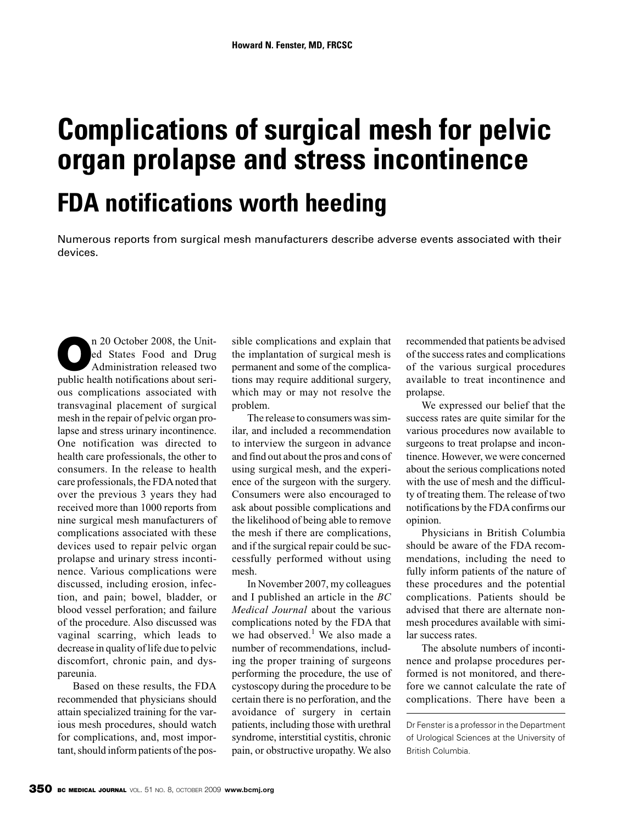# **Complications of surgical mesh for pelvic organ prolapse and stress incontinence FDA notifications worth heeding**

Numerous reports from surgical mesh manufacturers describe adverse events associated with their devices.

**O**n 20 October 2008, the Unit-<br>
ed States Food and Drug<br>
Administration released two<br>
multiple has the activities about soil ed States Food and Drug Administration released two public health notifications about serious complications associated with transvaginal placement of surgical mesh in the repair of pelvic organ prolapse and stress urinary incontinence. One notification was directed to health care professionals, the other to consumers. In the release to health care professionals, the FDA noted that over the previous 3 years they had received more than 1000 reports from nine surgical mesh manufacturers of complications associated with these devices used to repair pelvic organ prolapse and urinary stress incontinence. Various complications were discussed, including erosion, infection, and pain; bowel, bladder, or blood vessel perforation; and failure of the procedure. Also discussed was vaginal scarring, which leads to decrease in quality of life due to pelvic discomfort, chronic pain, and dyspareunia.

Based on these results, the FDA recommended that physicians should attain specialized training for the various mesh procedures, should watch for complications, and, most important, should inform patients of the possible complications and explain that the implantation of surgical mesh is permanent and some of the complications may require additional surgery, which may or may not resolve the problem.

The release to consumers was similar, and included a recommendation to interview the surgeon in advance and find out about the pros and cons of using surgical mesh, and the experience of the surgeon with the surgery. Consumers were also encouraged to ask about possible complications and the likelihood of being able to remove the mesh if there are complications, and if the surgical repair could be successfully performed without using mesh.

In November 2007, my colleagues and I published an article in the *BC Medical Journal* about the various complications noted by the FDA that we had observed.<sup>1</sup> We also made a number of recommendations, including the proper training of surgeons performing the procedure, the use of cystoscopy during the procedure to be certain there is no perforation, and the avoidance of surgery in certain patients, including those with urethral syndrome, interstitial cystitis, chronic pain, or obstructive uropathy. We also

recommended that patients be advised of the success rates and complications of the various surgical procedures available to treat incontinence and prolapse.

We expressed our belief that the success rates are quite similar for the various procedures now available to surgeons to treat prolapse and incontinence. However, we were concerned about the serious complications noted with the use of mesh and the difficulty of treating them. The release of two notifications by the FDA confirms our opinion.

Physicians in British Columbia should be aware of the FDA recommendations, including the need to fully inform patients of the nature of these procedures and the potential complications. Patients should be advised that there are alternate nonmesh procedures available with similar success rates.

The absolute numbers of incontinence and prolapse procedures performed is not monitored, and therefore we cannot calculate the rate of complications. There have been a

Dr Fenster is a professor in the Department of Urological Sciences at the University of British Columbia.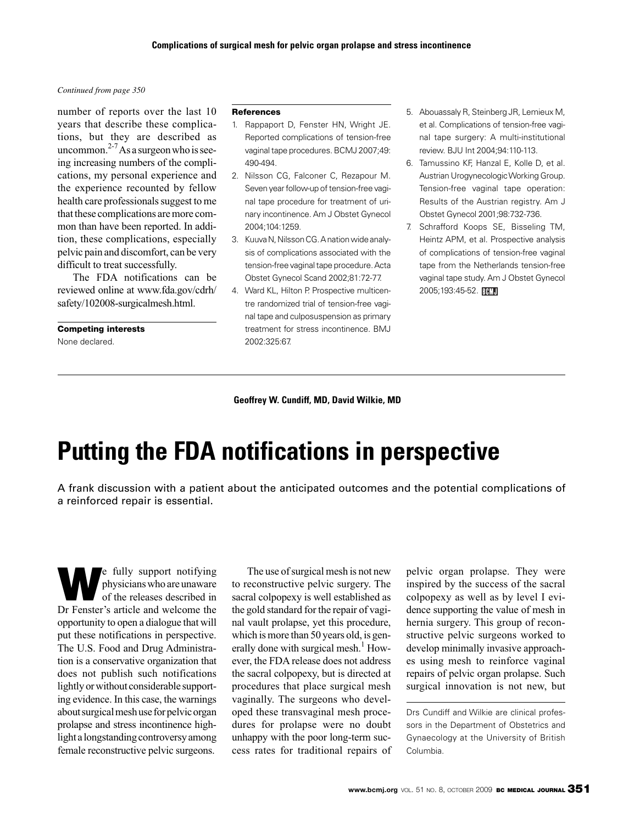#### *Continued from page 350*

number of reports over the last 10 years that describe these complications, but they are described as uncommon. $2-7$ As a surgeon who is seeing increasing numbers of the complications, my personal experience and the experience recounted by fellow health care professionals suggest to me that these complications are more common than have been reported. In addition, these complications, especially pelvic pain and discomfort, can be very difficult to treat successfully.

The FDA notifications can be reviewed online at www.fda.gov/cdrh/ safety/102008-surgicalmesh.html.

#### **Competing interests**

None declared.

#### **References**

- 1. Rappaport D, Fenster HN, Wright JE. Reported complications of tension-free vaginal tape procedures. BCMJ 2007;49: 490-494.
- 2. Nilsson CG, Falconer C, Rezapour M. Seven year follow-up of tension-free vaginal tape procedure for treatment of urinary incontinence. Am J Obstet Gynecol 2004;104:1259.
- 3. Kuuva N, Nilsson CG. A nation wide analysis of complications associated with the tension-free vaginal tape procedure. Acta Obstet Gynecol Scand 2002;81:72-77.
- 4. Ward KL, Hilton P. Prospective multicentre randomized trial of tension-free vaginal tape and culposuspension as primary treatment for stress incontinence. BMJ 2002:325:67.
- 5. Abouassaly R, Steinberg JR, Lemieux M, et al. Complications of tension-free vaginal tape surgery: A multi-institutional review. BJU Int 2004;94:110-113.
- 6. Tamussino KF, Hanzal E, Kolle D, et al. Austrian Urogynecologic Working Group. Tension-free vaginal tape operation: Results of the Austrian registry. Am J Obstet Gynecol 2001;98:732-736.
- 7. Schrafford Koops SE, Bisseling TM, Heintz APM, et al. Prospective analysis of complications of tension-free vaginal tape from the Netherlands tension-free vaginal tape study. Am J Obstet Gynecol 2005;193:45-52. **HHML**

#### **Geoffrey W. Cundiff, MD, David Wilkie, MD**

## **Putting the FDA notifications in perspective**

A frank discussion with a patient about the anticipated outcomes and the potential complications of a reinforced repair is essential.

**W**e fully support notifying<br>physicians who are unaware<br>of the releases described in physicians who are unaware of the releases described in Dr Fenster's article and welcome the opportunity to open a dialogue that will put these notifications in perspective. The U.S. Food and Drug Administration is a conservative organization that does not publish such notifications lightly or without considerable supporting evidence. In this case, the warnings about surgical mesh use for pelvic organ prolapse and stress incontinence highlight a longstanding controversy among female reconstructive pelvic surgeons.

The use of surgical mesh is not new to reconstructive pelvic surgery. The sacral colpopexy is well established as the gold standard for the repair of vaginal vault prolapse, yet this procedure, which is more than 50 years old, is generally done with surgical mesh.<sup>1</sup> However, the FDA release does not address the sacral colpopexy, but is directed at procedures that place surgical mesh vaginally. The surgeons who developed these transvaginal mesh procedures for prolapse were no doubt unhappy with the poor long-term success rates for traditional repairs of pelvic organ prolapse. They were inspired by the success of the sacral colpopexy as well as by level I evidence supporting the value of mesh in hernia surgery. This group of reconstructive pelvic surgeons worked to develop minimally invasive approaches using mesh to reinforce vaginal repairs of pelvic organ prolapse. Such surgical innovation is not new, but

Drs Cundiff and Wilkie are clinical professors in the Department of Obstetrics and Gynaecology at the University of British Columbia.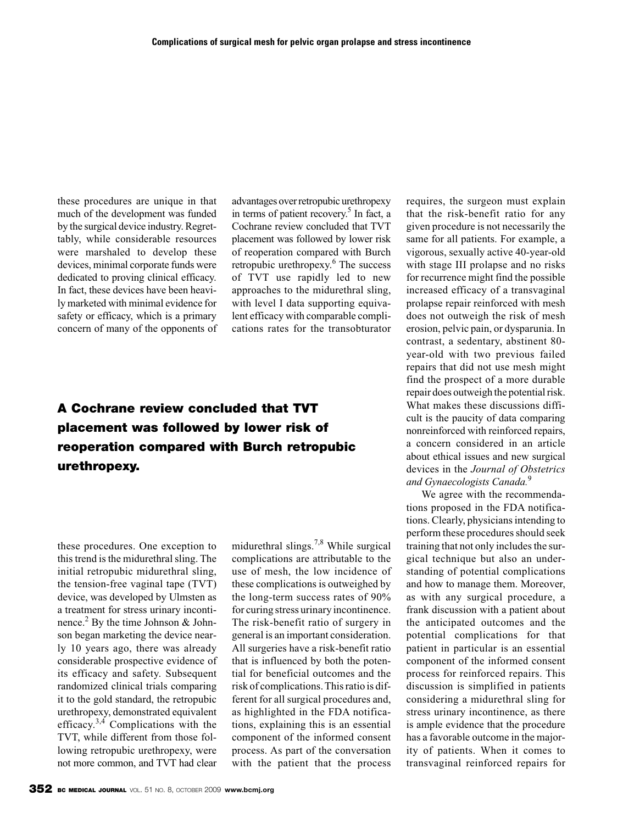these procedures are unique in that much of the development was funded by the surgical device industry. Regrettably, while considerable resources were marshaled to develop these devices, minimal corporate funds were dedicated to proving clinical efficacy. In fact, these devices have been heavily marketed with minimal evidence for safety or efficacy, which is a primary concern of many of the opponents of advantages over retropubic urethropexy in terms of patient recovery.<sup>5</sup> In fact, a Cochrane review concluded that TVT placement was followed by lower risk of reoperation compared with Burch retropubic urethropexy. $6$  The success of TVT use rapidly led to new approaches to the midurethral sling, with level I data supporting equivalent efficacy with comparable complications rates for the transobturator

### **A Cochrane review concluded that TVT placement was followed by lower risk of reoperation compared with Burch retropubic urethropexy.**

these procedures. One exception to this trend is the midurethral sling. The initial retropubic midurethral sling, the tension-free vaginal tape (TVT) device, was developed by Ulmsten as a treatment for stress urinary incontinence.<sup>2</sup> By the time Johnson & Johnson began marketing the device nearly 10 years ago, there was already considerable prospective evidence of its efficacy and safety. Subsequent randomized clinical trials comparing it to the gold standard, the retropubic urethropexy, demonstrated equivalent efficacy. $3,4$  Complications with the TVT, while different from those following retropubic urethropexy, were not more common, and TVT had clear

midurethral slings.<sup>7,8</sup> While surgical complications are attributable to the use of mesh, the low incidence of these complications is outweighed by the long-term success rates of 90% for curing stress urinary incontinence. The risk-benefit ratio of surgery in general is an important consideration. All surgeries have a risk-benefit ratio that is influenced by both the potential for beneficial outcomes and the risk of complications. This ratio is different for all surgical procedures and, as highlighted in the FDA notifications, explaining this is an essential component of the informed consent process. As part of the conversation with the patient that the process

requires, the surgeon must explain that the risk-benefit ratio for any given procedure is not necessarily the same for all patients. For example, a vigorous, sexually active 40-year-old with stage III prolapse and no risks for recurrence might find the possible increased efficacy of a transvaginal prolapse repair reinforced with mesh does not outweigh the risk of mesh erosion, pelvic pain, or dysparunia. In contrast, a sedentary, abstinent 80 year-old with two previous failed repairs that did not use mesh might find the prospect of a more durable repair does outweigh the potential risk. What makes these discussions difficult is the paucity of data comparing nonreinforced with reinforced repairs, a concern considered in an article about ethical issues and new surgical devices in the *Journal of Obstetrics and Gynaecologists Canada.*<sup>9</sup>

We agree with the recommendations proposed in the FDA notifications. Clearly, physicians intending to perform these procedures should seek training that not only includes the surgical technique but also an understanding of potential complications and how to manage them. Moreover, as with any surgical procedure, a frank discussion with a patient about the anticipated outcomes and the potential complications for that patient in particular is an essential component of the informed consent process for reinforced repairs. This discussion is simplified in patients considering a midurethral sling for stress urinary incontinence, as there is ample evidence that the procedure has a favorable outcome in the majority of patients. When it comes to transvaginal reinforced repairs for